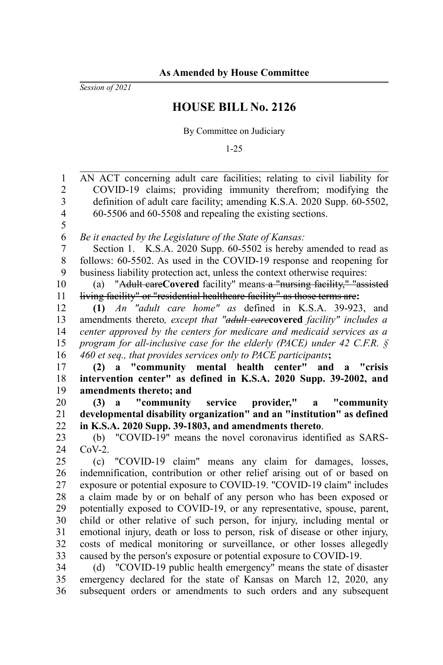*Session of 2021*

## **HOUSE BILL No. 2126**

By Committee on Judiciary

1-25

| COVID-19 claims; providing immunity therefrom; modifying the<br>$\overline{c}$<br>definition of adult care facility; amending K.S.A. 2020 Supp. 60-5502,<br>3<br>$\overline{\mathbf{4}}$<br>60-5506 and 60-5508 and repealing the existing sections.<br>5<br>6<br>Be it enacted by the Legislature of the State of Kansas:<br>$\overline{7}$<br>Section 1. K.S.A. 2020 Supp. 60-5502 is hereby amended to read as<br>$\,$ 8 $\,$<br>follows: 60-5502. As used in the COVID-19 response and reopening for<br>business liability protection act, unless the context otherwise requires:<br>9<br>"Adult careCovered facility" means a "nursing facility," "assisted<br>(a)<br>living facility" or "residential healthcare facility" as those terms are:<br>(1) An "adult care home" as defined in K.S.A. 39-923, and<br>amendments thereto, except that "adult carecovered facility" includes a<br>center approved by the centers for medicare and medicaid services as a<br>program for all-inclusive case for the elderly (PACE) under 42 C.F.R. $\oint$<br>460 et seq., that provides services only to PACE participants;<br>(2) a "community mental health center" and a "crisis<br>intervention center" as defined in K.S.A. 2020 Supp. 39-2002, and<br>amendments thereto; and<br>"community service provider," a "community<br>(3)<br>$\mathbf{a}$ |  |
|--------------------------------------------------------------------------------------------------------------------------------------------------------------------------------------------------------------------------------------------------------------------------------------------------------------------------------------------------------------------------------------------------------------------------------------------------------------------------------------------------------------------------------------------------------------------------------------------------------------------------------------------------------------------------------------------------------------------------------------------------------------------------------------------------------------------------------------------------------------------------------------------------------------------------------------------------------------------------------------------------------------------------------------------------------------------------------------------------------------------------------------------------------------------------------------------------------------------------------------------------------------------------------------------------------------------------------------------------------|--|
|                                                                                                                                                                                                                                                                                                                                                                                                                                                                                                                                                                                                                                                                                                                                                                                                                                                                                                                                                                                                                                                                                                                                                                                                                                                                                                                                                        |  |
|                                                                                                                                                                                                                                                                                                                                                                                                                                                                                                                                                                                                                                                                                                                                                                                                                                                                                                                                                                                                                                                                                                                                                                                                                                                                                                                                                        |  |
| 10<br>11<br>12<br>13<br>14<br>15<br>16<br>17<br>18<br>19<br>20                                                                                                                                                                                                                                                                                                                                                                                                                                                                                                                                                                                                                                                                                                                                                                                                                                                                                                                                                                                                                                                                                                                                                                                                                                                                                         |  |
|                                                                                                                                                                                                                                                                                                                                                                                                                                                                                                                                                                                                                                                                                                                                                                                                                                                                                                                                                                                                                                                                                                                                                                                                                                                                                                                                                        |  |
|                                                                                                                                                                                                                                                                                                                                                                                                                                                                                                                                                                                                                                                                                                                                                                                                                                                                                                                                                                                                                                                                                                                                                                                                                                                                                                                                                        |  |
|                                                                                                                                                                                                                                                                                                                                                                                                                                                                                                                                                                                                                                                                                                                                                                                                                                                                                                                                                                                                                                                                                                                                                                                                                                                                                                                                                        |  |
|                                                                                                                                                                                                                                                                                                                                                                                                                                                                                                                                                                                                                                                                                                                                                                                                                                                                                                                                                                                                                                                                                                                                                                                                                                                                                                                                                        |  |
|                                                                                                                                                                                                                                                                                                                                                                                                                                                                                                                                                                                                                                                                                                                                                                                                                                                                                                                                                                                                                                                                                                                                                                                                                                                                                                                                                        |  |
|                                                                                                                                                                                                                                                                                                                                                                                                                                                                                                                                                                                                                                                                                                                                                                                                                                                                                                                                                                                                                                                                                                                                                                                                                                                                                                                                                        |  |
|                                                                                                                                                                                                                                                                                                                                                                                                                                                                                                                                                                                                                                                                                                                                                                                                                                                                                                                                                                                                                                                                                                                                                                                                                                                                                                                                                        |  |
|                                                                                                                                                                                                                                                                                                                                                                                                                                                                                                                                                                                                                                                                                                                                                                                                                                                                                                                                                                                                                                                                                                                                                                                                                                                                                                                                                        |  |
|                                                                                                                                                                                                                                                                                                                                                                                                                                                                                                                                                                                                                                                                                                                                                                                                                                                                                                                                                                                                                                                                                                                                                                                                                                                                                                                                                        |  |
|                                                                                                                                                                                                                                                                                                                                                                                                                                                                                                                                                                                                                                                                                                                                                                                                                                                                                                                                                                                                                                                                                                                                                                                                                                                                                                                                                        |  |
|                                                                                                                                                                                                                                                                                                                                                                                                                                                                                                                                                                                                                                                                                                                                                                                                                                                                                                                                                                                                                                                                                                                                                                                                                                                                                                                                                        |  |
|                                                                                                                                                                                                                                                                                                                                                                                                                                                                                                                                                                                                                                                                                                                                                                                                                                                                                                                                                                                                                                                                                                                                                                                                                                                                                                                                                        |  |
|                                                                                                                                                                                                                                                                                                                                                                                                                                                                                                                                                                                                                                                                                                                                                                                                                                                                                                                                                                                                                                                                                                                                                                                                                                                                                                                                                        |  |
|                                                                                                                                                                                                                                                                                                                                                                                                                                                                                                                                                                                                                                                                                                                                                                                                                                                                                                                                                                                                                                                                                                                                                                                                                                                                                                                                                        |  |
|                                                                                                                                                                                                                                                                                                                                                                                                                                                                                                                                                                                                                                                                                                                                                                                                                                                                                                                                                                                                                                                                                                                                                                                                                                                                                                                                                        |  |
|                                                                                                                                                                                                                                                                                                                                                                                                                                                                                                                                                                                                                                                                                                                                                                                                                                                                                                                                                                                                                                                                                                                                                                                                                                                                                                                                                        |  |
| developmental disability organization" and an "institution" as defined<br>21                                                                                                                                                                                                                                                                                                                                                                                                                                                                                                                                                                                                                                                                                                                                                                                                                                                                                                                                                                                                                                                                                                                                                                                                                                                                           |  |
| in K.S.A. 2020 Supp. 39-1803, and amendments thereto.<br>22                                                                                                                                                                                                                                                                                                                                                                                                                                                                                                                                                                                                                                                                                                                                                                                                                                                                                                                                                                                                                                                                                                                                                                                                                                                                                            |  |
| 23<br>(b) "COVID-19" means the novel coronavirus identified as SARS-                                                                                                                                                                                                                                                                                                                                                                                                                                                                                                                                                                                                                                                                                                                                                                                                                                                                                                                                                                                                                                                                                                                                                                                                                                                                                   |  |
| 24<br>$CoV-2.$                                                                                                                                                                                                                                                                                                                                                                                                                                                                                                                                                                                                                                                                                                                                                                                                                                                                                                                                                                                                                                                                                                                                                                                                                                                                                                                                         |  |
| 25<br>"COVID-19 claim" means any claim for damages, losses,<br>(c)                                                                                                                                                                                                                                                                                                                                                                                                                                                                                                                                                                                                                                                                                                                                                                                                                                                                                                                                                                                                                                                                                                                                                                                                                                                                                     |  |
|                                                                                                                                                                                                                                                                                                                                                                                                                                                                                                                                                                                                                                                                                                                                                                                                                                                                                                                                                                                                                                                                                                                                                                                                                                                                                                                                                        |  |
| 26<br>indemnification, contribution or other relief arising out of or based on                                                                                                                                                                                                                                                                                                                                                                                                                                                                                                                                                                                                                                                                                                                                                                                                                                                                                                                                                                                                                                                                                                                                                                                                                                                                         |  |
| 27<br>exposure or potential exposure to COVID-19. "COVID-19 claim" includes                                                                                                                                                                                                                                                                                                                                                                                                                                                                                                                                                                                                                                                                                                                                                                                                                                                                                                                                                                                                                                                                                                                                                                                                                                                                            |  |
| a claim made by or on behalf of any person who has been exposed or<br>28                                                                                                                                                                                                                                                                                                                                                                                                                                                                                                                                                                                                                                                                                                                                                                                                                                                                                                                                                                                                                                                                                                                                                                                                                                                                               |  |
| potentially exposed to COVID-19, or any representative, spouse, parent,<br>29                                                                                                                                                                                                                                                                                                                                                                                                                                                                                                                                                                                                                                                                                                                                                                                                                                                                                                                                                                                                                                                                                                                                                                                                                                                                          |  |
| child or other relative of such person, for injury, including mental or<br>30                                                                                                                                                                                                                                                                                                                                                                                                                                                                                                                                                                                                                                                                                                                                                                                                                                                                                                                                                                                                                                                                                                                                                                                                                                                                          |  |
| 31<br>emotional injury, death or loss to person, risk of disease or other injury,                                                                                                                                                                                                                                                                                                                                                                                                                                                                                                                                                                                                                                                                                                                                                                                                                                                                                                                                                                                                                                                                                                                                                                                                                                                                      |  |
| 32<br>costs of medical monitoring or surveillance, or other losses allegedly                                                                                                                                                                                                                                                                                                                                                                                                                                                                                                                                                                                                                                                                                                                                                                                                                                                                                                                                                                                                                                                                                                                                                                                                                                                                           |  |
| caused by the person's exposure or potential exposure to COVID-19.<br>33                                                                                                                                                                                                                                                                                                                                                                                                                                                                                                                                                                                                                                                                                                                                                                                                                                                                                                                                                                                                                                                                                                                                                                                                                                                                               |  |
| (d) "COVID-19 public health emergency" means the state of disaster<br>34                                                                                                                                                                                                                                                                                                                                                                                                                                                                                                                                                                                                                                                                                                                                                                                                                                                                                                                                                                                                                                                                                                                                                                                                                                                                               |  |
| 35<br>emergency declared for the state of Kansas on March 12, 2020, any<br>36<br>subsequent orders or amendments to such orders and any subsequent                                                                                                                                                                                                                                                                                                                                                                                                                                                                                                                                                                                                                                                                                                                                                                                                                                                                                                                                                                                                                                                                                                                                                                                                     |  |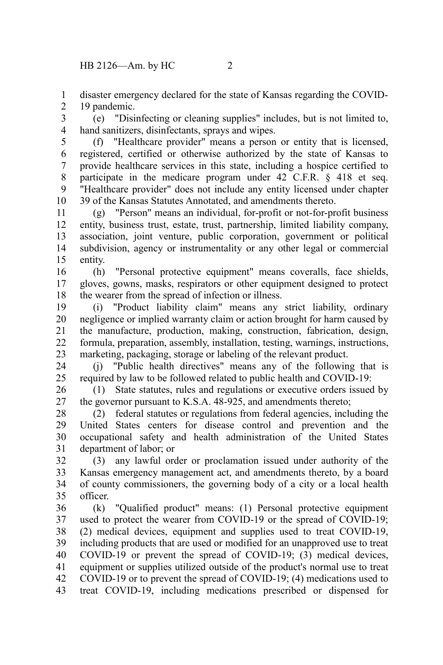disaster emergency declared for the state of Kansas regarding the COVID-19 pandemic. 1 2

(e) "Disinfecting or cleaning supplies" includes, but is not limited to, hand sanitizers, disinfectants, sprays and wipes. 3 4

(f) "Healthcare provider" means a person or entity that is licensed, registered, certified or otherwise authorized by the state of Kansas to provide healthcare services in this state, including a hospice certified to participate in the medicare program under 42 C.F.R. § 418 et seq. "Healthcare provider" does not include any entity licensed under chapter 39 of the Kansas Statutes Annotated, and amendments thereto. 5 6 7 8 9 10

(g) "Person" means an individual, for-profit or not-for-profit business entity, business trust, estate, trust, partnership, limited liability company, association, joint venture, public corporation, government or political subdivision, agency or instrumentality or any other legal or commercial entity. 11 12 13 14 15

(h) "Personal protective equipment" means coveralls, face shields, gloves, gowns, masks, respirators or other equipment designed to protect the wearer from the spread of infection or illness. 16 17 18

(i) "Product liability claim" means any strict liability, ordinary negligence or implied warranty claim or action brought for harm caused by the manufacture, production, making, construction, fabrication, design, formula, preparation, assembly, installation, testing, warnings, instructions, marketing, packaging, storage or labeling of the relevant product. 19 20 21 22 23

(j) "Public health directives" means any of the following that is required by law to be followed related to public health and COVID-19: 24 25

(1) State statutes, rules and regulations or executive orders issued by the governor pursuant to K.S.A. 48-925, and amendments thereto; 26 27

(2) federal statutes or regulations from federal agencies, including the United States centers for disease control and prevention and the occupational safety and health administration of the United States department of labor; or 28 29 30 31

(3) any lawful order or proclamation issued under authority of the Kansas emergency management act, and amendments thereto, by a board of county commissioners, the governing body of a city or a local health officer. 32 33 34 35

(k) "Qualified product" means: (1) Personal protective equipment used to protect the wearer from COVID-19 or the spread of COVID-19; (2) medical devices, equipment and supplies used to treat COVID-19, including products that are used or modified for an unapproved use to treat COVID-19 or prevent the spread of COVID-19; (3) medical devices, equipment or supplies utilized outside of the product's normal use to treat COVID-19 or to prevent the spread of COVID-19; (4) medications used to treat COVID-19, including medications prescribed or dispensed for 36 37 38 39 40 41 42 43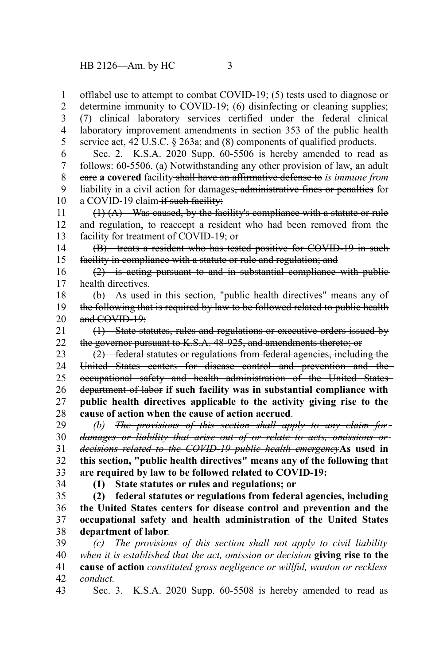offlabel use to attempt to combat COVID-19; (5) tests used to diagnose or determine immunity to COVID-19; (6) disinfecting or cleaning supplies; (7) clinical laboratory services certified under the federal clinical laboratory improvement amendments in section 353 of the public health service act, 42 U.S.C. § 263a; and (8) components of qualified products. Sec. 2. K.S.A. 2020 Supp. 60-5506 is hereby amended to read as follows:  $60-5506$ . (a) Notwithstanding any other provision of law, an adult care **a covered** facility shall have an affirmative defense to *is immune from* liability in a civil action for damages<del>, administrative fines or penalties</del> for a COVID-19 claim-if such facility: (1) (A) Was caused, by the facility's compliance with a statute or rule and regulation, to reaccept a resident who had been removed from the facility for treatment of COVID-19; or (B) treats a resident who has tested positive for COVID-19 in such facility in compliance with a statute or rule and regulation; and (2) is acting pursuant to and in substantial compliance with public health directives. (b) As used in this section, "public health directives" means any of the following that is required by law to be followed related to public health and COVID-19: (1) State statutes, rules and regulations or executive orders issued by the governor pursuant to K.S.A. 48-925, and amendments thereto; or (2) federal statutes or regulations from federal agencies, including the United States centers for disease control and prevention and the occupational safety and health administration of the United States department of labor **if such facility was in substantial compliance with public health directives applicable to the activity giving rise to the cause of action when the cause of action accrued**. *(b) The provisions of this section shall apply to any claim for damages or liability that arise out of or relate to acts, omissions or decisions related to the COVID-19 public health emergency***As used in this section, "public health directives" means any of the following that are required by law to be followed related to COVID-19: (1) State statutes or rules and regulations; or (2) federal statutes or regulations from federal agencies, including the United States centers for disease control and prevention and the occupational safety and health administration of the United States department of labor***. (c) The provisions of this section shall not apply to civil liability when it is established that the act, omission or decision* **giving rise to the cause of action** *constituted gross negligence or willful, wanton or reckless conduct.* 1 2 3 4 5 6 7 8 9 10 11 12 13 14 15 16 17 18 19 20 21 22 23 24 25 26 27 28 29 30 31 32 33 34 35 36 37 38 39 40 41 42

Sec. 3. K.S.A. 2020 Supp. 60-5508 is hereby amended to read as 43